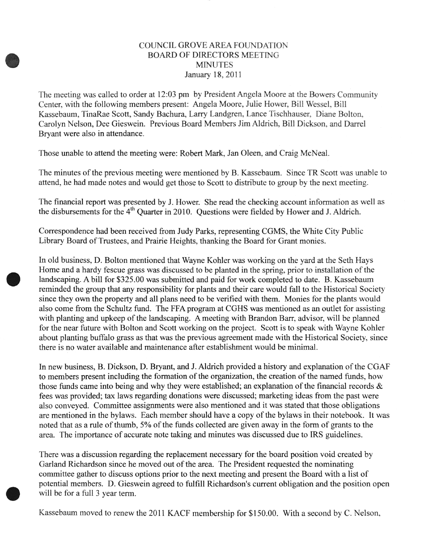## COUNCIL GROVE AREA FOUNDATION **BOARD OF DIRECTORS MEETING MINUTES** January 18, 2011

The meeting was called to order at 12:03 pm by President Angela Moore at the Bowers Community Center, with the following members present: Angela Moore, Julie Hower, Bill Wessel, Bill Kassebaum, TinaRae Scott, Sandy Bachura, Larry Landgren, Lance Tischhauser, Diane Bolton, Carolyn Nelson, Dee Gieswein. Previous Board Members Jim Aldrich, Bill Dickson, and Darrel Bryant were also in attendance.

Those unable to attend the meeting were: Robert Mark, Jan Oleen, and Craig McNeal.

The minutes of the previous meeting were mentioned by B. Kassebaum. Since TR Scott was unable to attend, he had made notes and would get those to Scott to distribute to group by the next meeting.

The financial report was presented by J. Hower. She read the checking account information as well as the disbursements for the 4<sup>th</sup> Quarter in 2010. Questions were fielded by Hower and J. Aldrich.

Correspondence had been received from Judy Parks, representing CGMS, the White City Public Library Board of Trustees, and Prairie Heights, thanking the Board for Grant monies.

In old business, D. Bolton mentioned that Wayne Kohler was working on the yard at the Seth Hays Home and a hardy fescue grass was discussed to be planted in the spring, prior to installation of the landscaping. A bill for \$325.00 was submitted and paid for work completed to date. B. Kassebaum reminded the group that any responsibility for plants and their care would fall to the Historical Society since they own the property and all plans need to be verified with them. Monies for the plants would also come from the Schultz fund. The FFA program at CGHS was mentioned as an outlet for assisting with planting and upkeep of the landscaping. A meeting with Brandon Barr, advisor, will be planned for the near future with Bolton and Scott working on the project. Scott is to speak with Wayne Kohler about planting buffalo grass as that was the previous agreement made with the Historical Society, since there is no water available and maintenance after establishment would be minimal.

In new business, B. Dickson, D. Bryant, and J. Aldrich provided a history and explanation of the CGAF to members present including the formation of the organization, the creation of the named funds, how those funds came into being and why they were established; an explanation of the financial records  $\&$ fees was provided; tax laws regarding donations were discussed; marketing ideas from the past were also conveyed. Committee assignments were also mentioned and it was stated that those obligations are mentioned in the bylaws. Each member should have a copy of the bylaws in their notebook. It was noted that as a rule of thumb, 5% of the funds collected are given away in the form of grants to the area. The importance of accurate note taking and minutes was discussed due to IRS guidelines.

There was a discussion regarding the replacement necessary for the board position void created by Garland Richardson since he moved out of the area. The President requested the nominating committee gather to discuss options prior to the next meeting and present the Board with a list of potential members. D. Gieswein agreed to fulfill Richardson's current obligation and the position open will be for a full 3 year term.

Kassebaum moved to renew the 2011 KACF membership for \$150.00. With a second by C. Nelson,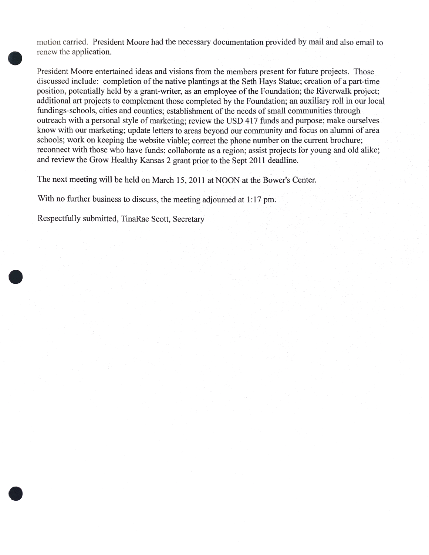motion carried. President Moore had the necessary documentation provided by mail and also email to renew the application.

President Moore entertained ideas and visions from the members present for future projects. Those discussed include: completion of the native plantings at the Seth Hays Statue; creation of a part-time position, potentially held by a grant-writer, as an employee of the Foundation; the Riverwalk project; additional art projects to complement those completed by the Foundation; an auxiliary roll in our local fundings-schools, cities and counties; establishment of the needs of small communities through outreach with a personal style of marketing; review the USD 417 funds and purpose; make ourselves know with our marketing; update letters to areas beyond our community and focus on alumni of area schools; work on keeping the website viable; correct the phone number on the current brochure; reconnect with those who have funds; collaborate as a region; assist projects for young and old alike; and review the Grow Healthy Kansas 2 grant prior to the Sept 2011 deadline.

The next meeting will be held on March 15, 2011 at NOON at the Bower's Center.

With no further business to discuss, the meeting adjourned at 1:17 pm.

Respectfully submitted, TinaRae Scott, Secretary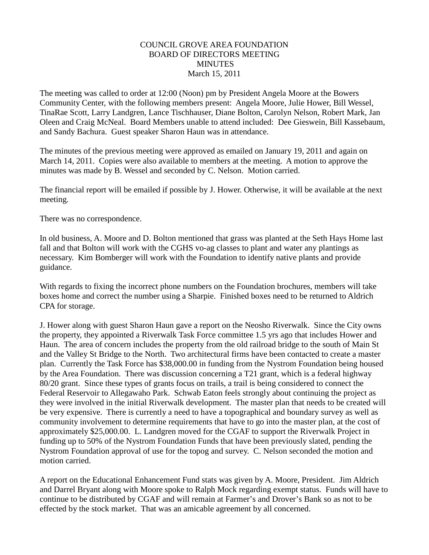## COUNCIL GROVE AREA FOUNDATION BOARD OF DIRECTORS MEETING MINUTES March 15, 2011

The meeting was called to order at 12:00 (Noon) pm by President Angela Moore at the Bowers Community Center, with the following members present: Angela Moore, Julie Hower, Bill Wessel, TinaRae Scott, Larry Landgren, Lance Tischhauser, Diane Bolton, Carolyn Nelson, Robert Mark, Jan Oleen and Craig McNeal. Board Members unable to attend included: Dee Gieswein, Bill Kassebaum, and Sandy Bachura. Guest speaker Sharon Haun was in attendance.

The minutes of the previous meeting were approved as emailed on January 19, 2011 and again on March 14, 2011. Copies were also available to members at the meeting. A motion to approve the minutes was made by B. Wessel and seconded by C. Nelson. Motion carried.

The financial report will be emailed if possible by J. Hower. Otherwise, it will be available at the next meeting.

There was no correspondence.

In old business, A. Moore and D. Bolton mentioned that grass was planted at the Seth Hays Home last fall and that Bolton will work with the CGHS vo-ag classes to plant and water any plantings as necessary. Kim Bomberger will work with the Foundation to identify native plants and provide guidance.

With regards to fixing the incorrect phone numbers on the Foundation brochures, members will take boxes home and correct the number using a Sharpie. Finished boxes need to be returned to Aldrich CPA for storage.

J. Hower along with guest Sharon Haun gave a report on the Neosho Riverwalk. Since the City owns the property, they appointed a Riverwalk Task Force committee 1.5 yrs ago that includes Hower and Haun. The area of concern includes the property from the old railroad bridge to the south of Main St and the Valley St Bridge to the North. Two architectural firms have been contacted to create a master plan. Currently the Task Force has \$38,000.00 in funding from the Nystrom Foundation being housed by the Area Foundation. There was discussion concerning a T21 grant, which is a federal highway 80/20 grant. Since these types of grants focus on trails, a trail is being considered to connect the Federal Reservoir to Allegawaho Park. Schwab Eaton feels strongly about continuing the project as they were involved in the initial Riverwalk development. The master plan that needs to be created will be very expensive. There is currently a need to have a topographical and boundary survey as well as community involvement to determine requirements that have to go into the master plan, at the cost of approximately \$25,000.00. L. Landgren moved for the CGAF to support the Riverwalk Project in funding up to 50% of the Nystrom Foundation Funds that have been previously slated, pending the Nystrom Foundation approval of use for the topog and survey. C. Nelson seconded the motion and motion carried.

A report on the Educational Enhancement Fund stats was given by A. Moore, President. Jim Aldrich and Darrel Bryant along with Moore spoke to Ralph Mock regarding exempt status. Funds will have to continue to be distributed by CGAF and will remain at Farmer's and Drover's Bank so as not to be effected by the stock market. That was an amicable agreement by all concerned.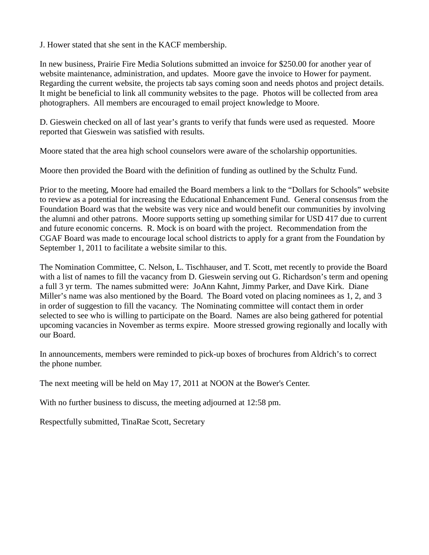J. Hower stated that she sent in the KACF membership.

In new business, Prairie Fire Media Solutions submitted an invoice for \$250.00 for another year of website maintenance, administration, and updates. Moore gave the invoice to Hower for payment. Regarding the current website, the projects tab says coming soon and needs photos and project details. It might be beneficial to link all community websites to the page. Photos will be collected from area photographers. All members are encouraged to email project knowledge to Moore.

D. Gieswein checked on all of last year's grants to verify that funds were used as requested. Moore reported that Gieswein was satisfied with results.

Moore stated that the area high school counselors were aware of the scholarship opportunities.

Moore then provided the Board with the definition of funding as outlined by the Schultz Fund.

Prior to the meeting, Moore had emailed the Board members a link to the "Dollars for Schools" website to review as a potential for increasing the Educational Enhancement Fund. General consensus from the Foundation Board was that the website was very nice and would benefit our communities by involving the alumni and other patrons. Moore supports setting up something similar for USD 417 due to current and future economic concerns. R. Mock is on board with the project. Recommendation from the CGAF Board was made to encourage local school districts to apply for a grant from the Foundation by September 1, 2011 to facilitate a website similar to this.

The Nomination Committee, C. Nelson, L. Tischhauser, and T. Scott, met recently to provide the Board with a list of names to fill the vacancy from D. Gieswein serving out G. Richardson's term and opening a full 3 yr term. The names submitted were: JoAnn Kahnt, Jimmy Parker, and Dave Kirk. Diane Miller's name was also mentioned by the Board. The Board voted on placing nominees as 1, 2, and 3 in order of suggestion to fill the vacancy. The Nominating committee will contact them in order selected to see who is willing to participate on the Board. Names are also being gathered for potential upcoming vacancies in November as terms expire. Moore stressed growing regionally and locally with our Board.

In announcements, members were reminded to pick-up boxes of brochures from Aldrich's to correct the phone number.

The next meeting will be held on May 17, 2011 at NOON at the Bower's Center.

With no further business to discuss, the meeting adjourned at 12:58 pm.

Respectfully submitted, TinaRae Scott, Secretary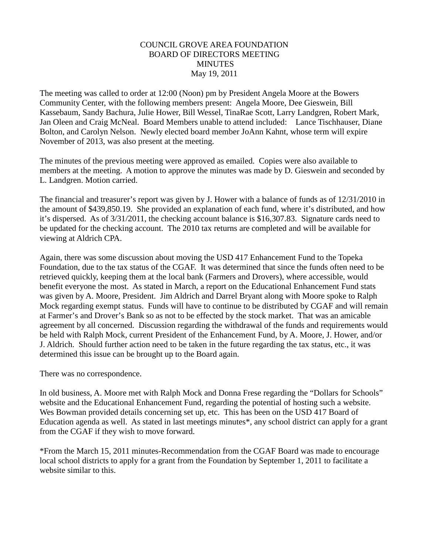# COUNCIL GROVE AREA FOUNDATION BOARD OF DIRECTORS MEETING **MINUTES** May 19, 2011

The meeting was called to order at 12:00 (Noon) pm by President Angela Moore at the Bowers Community Center, with the following members present: Angela Moore, Dee Gieswein, Bill Kassebaum, Sandy Bachura, Julie Hower, Bill Wessel, TinaRae Scott, Larry Landgren, Robert Mark, Jan Oleen and Craig McNeal. Board Members unable to attend included: Lance Tischhauser, Diane Bolton, and Carolyn Nelson. Newly elected board member JoAnn Kahnt, whose term will expire November of 2013, was also present at the meeting.

The minutes of the previous meeting were approved as emailed. Copies were also available to members at the meeting. A motion to approve the minutes was made by D. Gieswein and seconded by L. Landgren. Motion carried.

The financial and treasurer's report was given by J. Hower with a balance of funds as of 12/31/2010 in the amount of \$439,850.19. She provided an explanation of each fund, where it's distributed, and how it's dispersed. As of 3/31/2011, the checking account balance is \$16,307.83. Signature cards need to be updated for the checking account. The 2010 tax returns are completed and will be available for viewing at Aldrich CPA.

Again, there was some discussion about moving the USD 417 Enhancement Fund to the Topeka Foundation, due to the tax status of the CGAF. It was determined that since the funds often need to be retrieved quickly, keeping them at the local bank (Farmers and Drovers), where accessible, would benefit everyone the most. As stated in March, a report on the Educational Enhancement Fund stats was given by A. Moore, President. Jim Aldrich and Darrel Bryant along with Moore spoke to Ralph Mock regarding exempt status. Funds will have to continue to be distributed by CGAF and will remain at Farmer's and Drover's Bank so as not to be effected by the stock market. That was an amicable agreement by all concerned. Discussion regarding the withdrawal of the funds and requirements would be held with Ralph Mock, current President of the Enhancement Fund, by A. Moore, J. Hower, and/or J. Aldrich. Should further action need to be taken in the future regarding the tax status, etc., it was determined this issue can be brought up to the Board again.

There was no correspondence.

In old business, A. Moore met with Ralph Mock and Donna Frese regarding the "Dollars for Schools" website and the Educational Enhancement Fund, regarding the potential of hosting such a website. Wes Bowman provided details concerning set up, etc. This has been on the USD 417 Board of Education agenda as well. As stated in last meetings minutes\*, any school district can apply for a grant from the CGAF if they wish to move forward.

\*From the March 15, 2011 minutes-Recommendation from the CGAF Board was made to encourage local school districts to apply for a grant from the Foundation by September 1, 2011 to facilitate a website similar to this.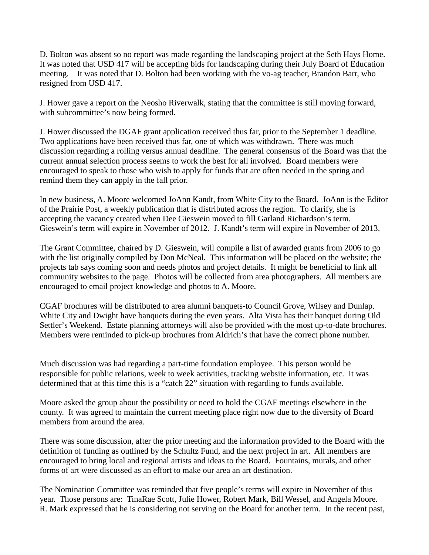D. Bolton was absent so no report was made regarding the landscaping project at the Seth Hays Home. It was noted that USD 417 will be accepting bids for landscaping during their July Board of Education meeting. It was noted that D. Bolton had been working with the vo-ag teacher, Brandon Barr, who resigned from USD 417.

J. Hower gave a report on the Neosho Riverwalk, stating that the committee is still moving forward, with subcommittee's now being formed.

J. Hower discussed the DGAF grant application received thus far, prior to the September 1 deadline. Two applications have been received thus far, one of which was withdrawn. There was much discussion regarding a rolling versus annual deadline. The general consensus of the Board was that the current annual selection process seems to work the best for all involved. Board members were encouraged to speak to those who wish to apply for funds that are often needed in the spring and remind them they can apply in the fall prior.

In new business, A. Moore welcomed JoAnn Kandt, from White City to the Board. JoAnn is the Editor of the Prairie Post, a weekly publication that is distributed across the region. To clarify, she is accepting the vacancy created when Dee Gieswein moved to fill Garland Richardson's term. Gieswein's term will expire in November of 2012. J. Kandt's term will expire in November of 2013.

The Grant Committee, chaired by D. Gieswein, will compile a list of awarded grants from 2006 to go with the list originally compiled by Don McNeal. This information will be placed on the website; the projects tab says coming soon and needs photos and project details. It might be beneficial to link all community websites to the page. Photos will be collected from area photographers. All members are encouraged to email project knowledge and photos to A. Moore.

CGAF brochures will be distributed to area alumni banquets-to Council Grove, Wilsey and Dunlap. White City and Dwight have banquets during the even years. Alta Vista has their banquet during Old Settler's Weekend. Estate planning attorneys will also be provided with the most up-to-date brochures. Members were reminded to pick-up brochures from Aldrich's that have the correct phone number.

Much discussion was had regarding a part-time foundation employee. This person would be responsible for public relations, week to week activities, tracking website information, etc. It was determined that at this time this is a "catch 22" situation with regarding to funds available.

Moore asked the group about the possibility or need to hold the CGAF meetings elsewhere in the county. It was agreed to maintain the current meeting place right now due to the diversity of Board members from around the area.

There was some discussion, after the prior meeting and the information provided to the Board with the definition of funding as outlined by the Schultz Fund, and the next project in art. All members are encouraged to bring local and regional artists and ideas to the Board. Fountains, murals, and other forms of art were discussed as an effort to make our area an art destination.

The Nomination Committee was reminded that five people's terms will expire in November of this year. Those persons are: TinaRae Scott, Julie Hower, Robert Mark, Bill Wessel, and Angela Moore. R. Mark expressed that he is considering not serving on the Board for another term. In the recent past,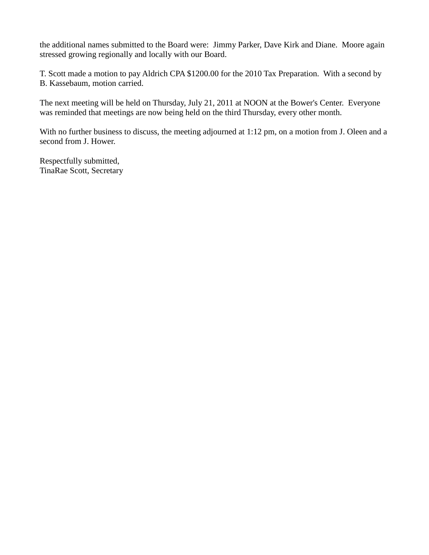the additional names submitted to the Board were: Jimmy Parker, Dave Kirk and Diane. Moore again stressed growing regionally and locally with our Board.

T. Scott made a motion to pay Aldrich CPA \$1200.00 for the 2010 Tax Preparation. With a second by B. Kassebaum, motion carried.

The next meeting will be held on Thursday, July 21, 2011 at NOON at the Bower's Center. Everyone was reminded that meetings are now being held on the third Thursday, every other month.

With no further business to discuss, the meeting adjourned at 1:12 pm, on a motion from J. Oleen and a second from J. Hower.

Respectfully submitted, TinaRae Scott, Secretary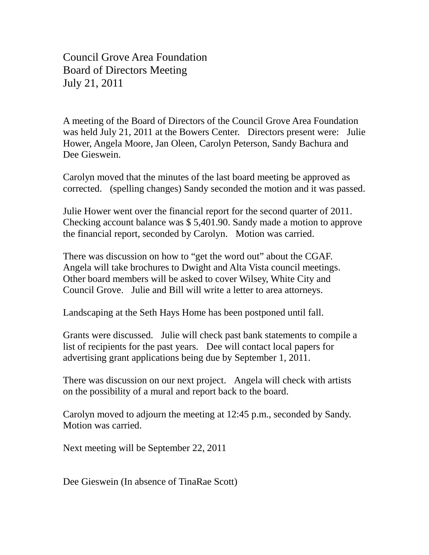Council Grove Area Foundation Board of Directors Meeting July 21, 2011

A meeting of the Board of Directors of the Council Grove Area Foundation was held July 21, 2011 at the Bowers Center. Directors present were: Julie Hower, Angela Moore, Jan Oleen, Carolyn Peterson, Sandy Bachura and Dee Gieswein.

Carolyn moved that the minutes of the last board meeting be approved as corrected. (spelling changes) Sandy seconded the motion and it was passed.

Julie Hower went over the financial report for the second quarter of 2011. Checking account balance was \$ 5,401.90. Sandy made a motion to approve the financial report, seconded by Carolyn. Motion was carried.

There was discussion on how to "get the word out" about the CGAF. Angela will take brochures to Dwight and Alta Vista council meetings. Other board members will be asked to cover Wilsey, White City and Council Grove. Julie and Bill will write a letter to area attorneys.

Landscaping at the Seth Hays Home has been postponed until fall.

Grants were discussed. Julie will check past bank statements to compile a list of recipients for the past years. Dee will contact local papers for advertising grant applications being due by September 1, 2011.

There was discussion on our next project. Angela will check with artists on the possibility of a mural and report back to the board.

Carolyn moved to adjourn the meeting at 12:45 p.m., seconded by Sandy. Motion was carried.

Next meeting will be September 22, 2011

Dee Gieswein (In absence of TinaRae Scott)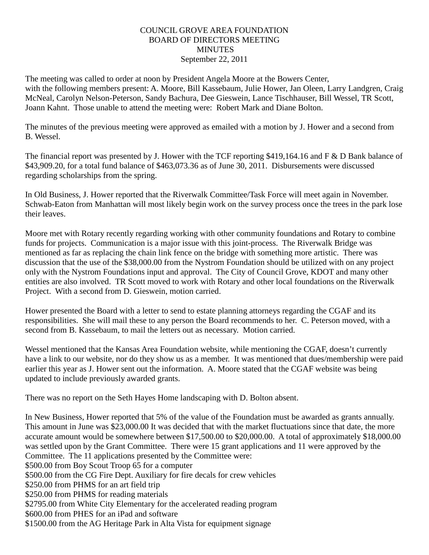# COUNCIL GROVE AREA FOUNDATION BOARD OF DIRECTORS MEETING **MINUTES** September 22, 2011

The meeting was called to order at noon by President Angela Moore at the Bowers Center, with the following members present: A. Moore, Bill Kassebaum, Julie Hower, Jan Oleen, Larry Landgren, Craig McNeal, Carolyn Nelson-Peterson, Sandy Bachura, Dee Gieswein, Lance Tischhauser, Bill Wessel, TR Scott, Joann Kahnt. Those unable to attend the meeting were: Robert Mark and Diane Bolton.

The minutes of the previous meeting were approved as emailed with a motion by J. Hower and a second from B. Wessel.

The financial report was presented by J. Hower with the TCF reporting \$419,164.16 and F & D Bank balance of \$43,909.20, for a total fund balance of \$463,073.36 as of June 30, 2011. Disbursements were discussed regarding scholarships from the spring.

In Old Business, J. Hower reported that the Riverwalk Committee/Task Force will meet again in November. Schwab-Eaton from Manhattan will most likely begin work on the survey process once the trees in the park lose their leaves.

Moore met with Rotary recently regarding working with other community foundations and Rotary to combine funds for projects. Communication is a major issue with this joint-process. The Riverwalk Bridge was mentioned as far as replacing the chain link fence on the bridge with something more artistic. There was discussion that the use of the \$38,000.00 from the Nystrom Foundation should be utilized with on any project only with the Nystrom Foundations input and approval. The City of Council Grove, KDOT and many other entities are also involved. TR Scott moved to work with Rotary and other local foundations on the Riverwalk Project. With a second from D. Gieswein, motion carried.

Hower presented the Board with a letter to send to estate planning attorneys regarding the CGAF and its responsibilities. She will mail these to any person the Board recommends to her. C. Peterson moved, with a second from B. Kassebaum, to mail the letters out as necessary. Motion carried.

Wessel mentioned that the Kansas Area Foundation website, while mentioning the CGAF, doesn't currently have a link to our website, nor do they show us as a member. It was mentioned that dues/membership were paid earlier this year as J. Hower sent out the information. A. Moore stated that the CGAF website was being updated to include previously awarded grants.

There was no report on the Seth Hayes Home landscaping with D. Bolton absent.

In New Business, Hower reported that 5% of the value of the Foundation must be awarded as grants annually. This amount in June was \$23,000.00 It was decided that with the market fluctuations since that date, the more accurate amount would be somewhere between \$17,500.00 to \$20,000.00. A total of approximately \$18,000.00 was settled upon by the Grant Committee. There were 15 grant applications and 11 were approved by the Committee. The 11 applications presented by the Committee were: \$500.00 from Boy Scout Troop 65 for a computer \$500.00 from the CG Fire Dept. Auxiliary for fire decals for crew vehicles \$250.00 from PHMS for an art field trip \$250.00 from PHMS for reading materials \$2795.00 from White City Elementary for the accelerated reading program \$600.00 from PHES for an iPad and software

\$1500.00 from the AG Heritage Park in Alta Vista for equipment signage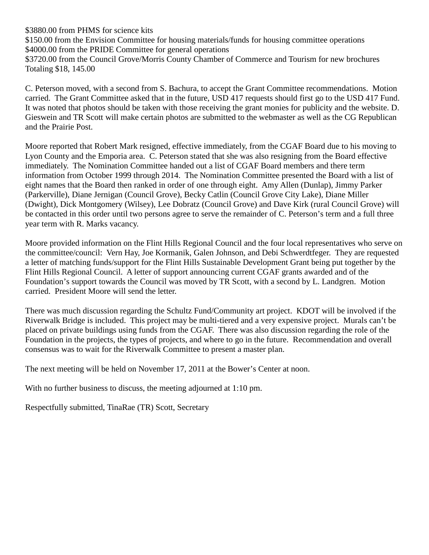\$3880.00 from PHMS for science kits

\$150.00 from the Envision Committee for housing materials/funds for housing committee operations \$4000.00 from the PRIDE Committee for general operations \$3720.00 from the Council Grove/Morris County Chamber of Commerce and Tourism for new brochures Totaling \$18, 145.00

C. Peterson moved, with a second from S. Bachura, to accept the Grant Committee recommendations. Motion carried. The Grant Committee asked that in the future, USD 417 requests should first go to the USD 417 Fund. It was noted that photos should be taken with those receiving the grant monies for publicity and the website. D. Gieswein and TR Scott will make certain photos are submitted to the webmaster as well as the CG Republican and the Prairie Post.

Moore reported that Robert Mark resigned, effective immediately, from the CGAF Board due to his moving to Lyon County and the Emporia area. C. Peterson stated that she was also resigning from the Board effective immediately. The Nomination Committee handed out a list of CGAF Board members and there term information from October 1999 through 2014. The Nomination Committee presented the Board with a list of eight names that the Board then ranked in order of one through eight. Amy Allen (Dunlap), Jimmy Parker (Parkerville), Diane Jernigan (Council Grove), Becky Catlin (Council Grove City Lake), Diane Miller (Dwight), Dick Montgomery (Wilsey), Lee Dobratz (Council Grove) and Dave Kirk (rural Council Grove) will be contacted in this order until two persons agree to serve the remainder of C. Peterson's term and a full three year term with R. Marks vacancy.

Moore provided information on the Flint Hills Regional Council and the four local representatives who serve on the committee/council: Vern Hay, Joe Kormanik, Galen Johnson, and Debi Schwerdtfeger. They are requested a letter of matching funds/support for the Flint Hills Sustainable Development Grant being put together by the Flint Hills Regional Council. A letter of support announcing current CGAF grants awarded and of the Foundation's support towards the Council was moved by TR Scott, with a second by L. Landgren. Motion carried. President Moore will send the letter.

There was much discussion regarding the Schultz Fund/Community art project. KDOT will be involved if the Riverwalk Bridge is included. This project may be multi-tiered and a very expensive project. Murals can't be placed on private buildings using funds from the CGAF. There was also discussion regarding the role of the Foundation in the projects, the types of projects, and where to go in the future. Recommendation and overall consensus was to wait for the Riverwalk Committee to present a master plan.

The next meeting will be held on November 17, 2011 at the Bower's Center at noon.

With no further business to discuss, the meeting adjourned at 1:10 pm.

Respectfully submitted, TinaRae (TR) Scott, Secretary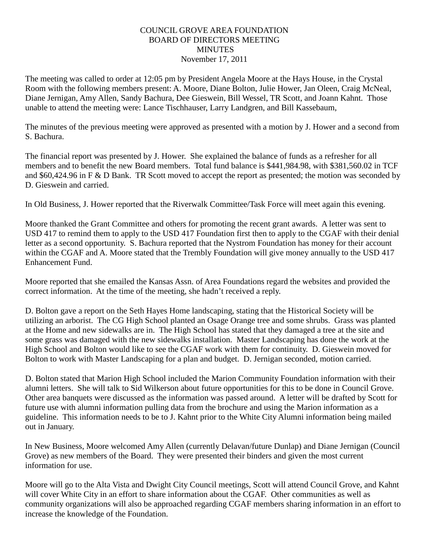# COUNCIL GROVE AREA FOUNDATION BOARD OF DIRECTORS MEETING **MINUTES** November 17, 2011

The meeting was called to order at 12:05 pm by President Angela Moore at the Hays House, in the Crystal Room with the following members present: A. Moore, Diane Bolton, Julie Hower, Jan Oleen, Craig McNeal, Diane Jernigan, Amy Allen, Sandy Bachura, Dee Gieswein, Bill Wessel, TR Scott, and Joann Kahnt. Those unable to attend the meeting were: Lance Tischhauser, Larry Landgren, and Bill Kassebaum,

The minutes of the previous meeting were approved as presented with a motion by J. Hower and a second from S. Bachura.

The financial report was presented by J. Hower. She explained the balance of funds as a refresher for all members and to benefit the new Board members. Total fund balance is \$441,984.98, with \$381,560.02 in TCF and \$60,424.96 in F & D Bank. TR Scott moved to accept the report as presented; the motion was seconded by D. Gieswein and carried.

In Old Business, J. Hower reported that the Riverwalk Committee/Task Force will meet again this evening.

Moore thanked the Grant Committee and others for promoting the recent grant awards. A letter was sent to USD 417 to remind them to apply to the USD 417 Foundation first then to apply to the CGAF with their denial letter as a second opportunity. S. Bachura reported that the Nystrom Foundation has money for their account within the CGAF and A. Moore stated that the Trembly Foundation will give money annually to the USD 417 Enhancement Fund.

Moore reported that she emailed the Kansas Assn. of Area Foundations regard the websites and provided the correct information. At the time of the meeting, she hadn't received a reply.

D. Bolton gave a report on the Seth Hayes Home landscaping, stating that the Historical Society will be utilizing an arborist. The CG High School planted an Osage Orange tree and some shrubs. Grass was planted at the Home and new sidewalks are in. The High School has stated that they damaged a tree at the site and some grass was damaged with the new sidewalks installation. Master Landscaping has done the work at the High School and Bolton would like to see the CGAF work with them for continuity. D. Gieswein moved for Bolton to work with Master Landscaping for a plan and budget. D. Jernigan seconded, motion carried.

D. Bolton stated that Marion High School included the Marion Community Foundation information with their alumni letters. She will talk to Sid Wilkerson about future opportunities for this to be done in Council Grove. Other area banquets were discussed as the information was passed around. A letter will be drafted by Scott for future use with alumni information pulling data from the brochure and using the Marion information as a guideline. This information needs to be to J. Kahnt prior to the White City Alumni information being mailed out in January.

In New Business, Moore welcomed Amy Allen (currently Delavan/future Dunlap) and Diane Jernigan (Council Grove) as new members of the Board. They were presented their binders and given the most current information for use.

Moore will go to the Alta Vista and Dwight City Council meetings, Scott will attend Council Grove, and Kahnt will cover White City in an effort to share information about the CGAF. Other communities as well as community organizations will also be approached regarding CGAF members sharing information in an effort to increase the knowledge of the Foundation.